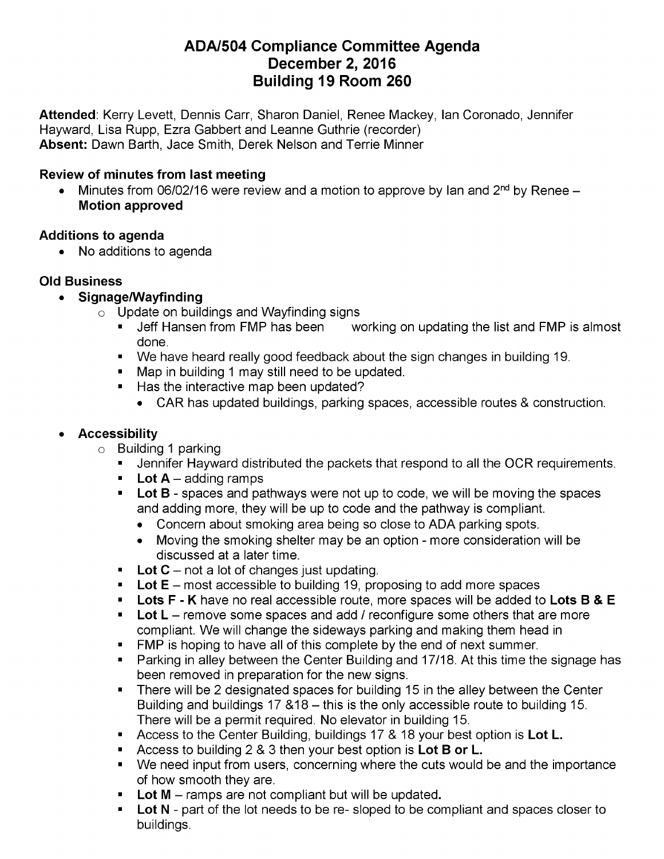# **ADA/504 Compliance Committee Agenda December 2, 2016 Building 19 Room 260**

**Attended**: Kerry Levett, Dennis Carr, Sharon Daniel, Renee Mackey, Ian Coronado, Jennifer Hayward, Lisa Rupp, Ezra Gabbert and Leanne Guthrie (recorder) **Absent:** Dawn Barth, Jace Smith, Derek Nelson and Terrie Minner

## **Review of minutes from last meeting**

Minutes from 06/02/16 were review and a motion to approve by Ian and  $2<sup>nd</sup>$  by Renee –  $\bullet$ **Motion approved**

## **Additions to agenda**

• No additions to agenda

## **Old Business**

- **Signage/Wayfinding**
	- $\circ$  Update on buildings and Wayfinding signs
		- Jeff Hansen from FMP has been working on updating the list and FMP is almost done.
		- We have heard really good feedback about the sign changes in building 19.
		- **Map in building 1 may still need to be updated.**
		- Has the interactive map been updated?
			- CAR has updated buildings, parking spaces, accessible routes & construction.

## **Accessibility**

- $\circ$  Building 1 parking
	- Jennifer Hayward distributed the packets that respond to all the OCR requirements.
	- **Lot**  $A -$  adding ramps
	- **Lot B** spaces and pathways were not up to code, we will be moving the spaces and adding more, they will be up to code and the pathway is compliant.
		- Concern about smoking area being so close to ADA parking spots.  $\bullet$
		- Moving the smoking shelter may be an option more consideration will be discussed at a later time.
	- **Lot C** not a lot of changes just updating.
	- **Lot E** most accessible to building 19, proposing to add more spaces
	- **Lots F - K** have no real accessible route, more spaces will be added to **Lots B & E**
	- **Lot L** remove some spaces and add / reconfigure some others that are more compliant. We will change the sideways parking and making them head in
	- **FMP** is hoping to have all of this complete by the end of next summer.
	- **Parking in alley between the Center Building and 17/18. At this time the signage has** been removed in preparation for the new signs.
	- There will be 2 designated spaces for building 15 in the alley between the Center  $\blacksquare$ Building and buildings  $17 \& 18 -$  this is the only accessible route to building 15. There will be a permit required. No elevator in building 15.
	- Access to the Center Building, buildings 17 & 18 your best option is **Lot L.**
	- Access to building 2 & 3 then your best option is **Lot B or L.**
	- We need input from users, concerning where the cuts would be and the importance of how smooth they are.
	- **Lot <sup>M</sup>** ramps are not compliant but will be updated**.**
	- **Lot N** part of the lot needs to be re- sloped to be compliant and spaces closer to buildings.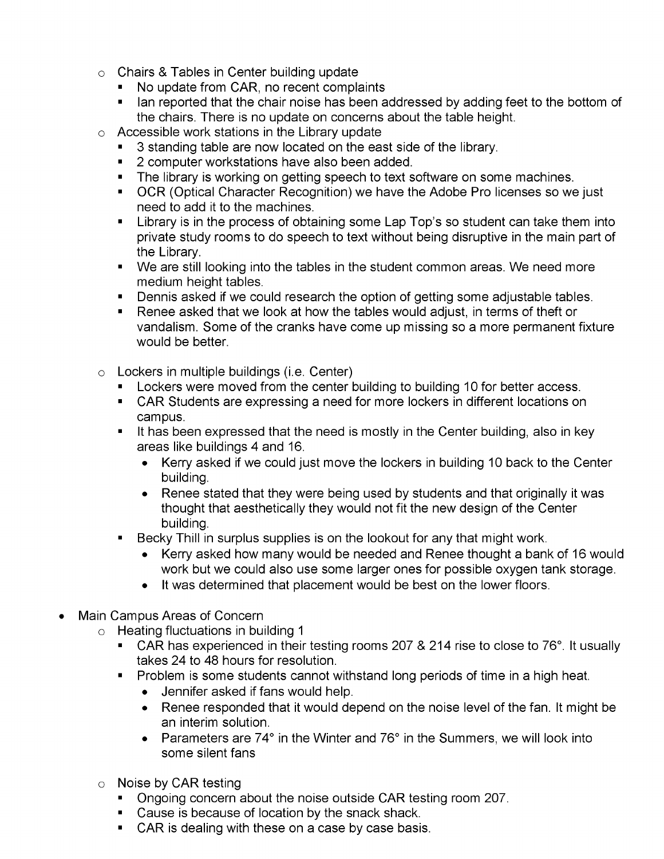- $\circ$  Chairs & Tables in Center building update
	- No update from CAR, no recent complaints
	- I lan reported that the chair noise has been addressed by adding feet to the bottom of the chairs. There is no update on concerns about the table height.
- $\circ$  Accessible work stations in the Library update
	- **3** standing table are now located on the east side of the library.
	- **2** computer workstations have also been added.
	- The library is working on getting speech to text software on some machines.
	- **OCR (Optical Character Recognition) we have the Adobe Pro licenses so we just** need to add it to the machines.
	- Library is in the process of obtaining some Lap Top's so student can take them into private study rooms to do speech to text without being disruptive in the main part of the Library.
	- We are still looking into the tables in the student common areas. We need more medium height tables.
	- Dennis asked if we could research the option of getting some adjustable tables.
	- Renee asked that we look at how the tables would adjust, in terms of theft or vandalism. Some of the cranks have come up missing so a more permanent fixture would be better.
- $\circ$  Lockers in multiple buildings (i.e. Center)
	- **Lockers were moved from the center building to building 10 for better access.**
	- CAR Students are expressing a need for more lockers in different locations on campus.
	- It has been expressed that the need is mostly in the Center building, also in key areas like buildings 4 and 16.
		- Kerry asked if we could just move the lockers in building 10 back to the Center building.
		- Renee stated that they were being used by students and that originally it was thought that aesthetically they would not fit the new design of the Center building.
	- Becky Thill in surplus supplies is on the lookout for any that might work.  $\blacksquare$ 
		- Kerry asked how many would be needed and Renee thought a bank of 16 would work but we could also use some larger ones for possible oxygen tank storage.
		- It was determined that placement would be best on the lower floors.
- Main Campus Areas of Concern
	- $\circ$  Heating fluctuations in building 1
		- CAR has experienced in their testing rooms 207 & 214 rise to close to 76°. It usually takes 24 to 48 hours for resolution.
		- **Problem is some students cannot withstand long periods of time in a high heat.** 
			- Jennifer asked if fans would help.
			- Renee responded that it would depend on the noise level of the fan. It might be an interim solution.
			- Parameters are 74° in the Winter and 76° in the Summers, we will look into some silent fans
	- $\circ$  Noise by CAR testing
		- **Ongoing concern about the noise outside CAR testing room 207.**
		- **Cause is because of location by the snack shack.**
		- CAR is dealing with these on a case by case basis.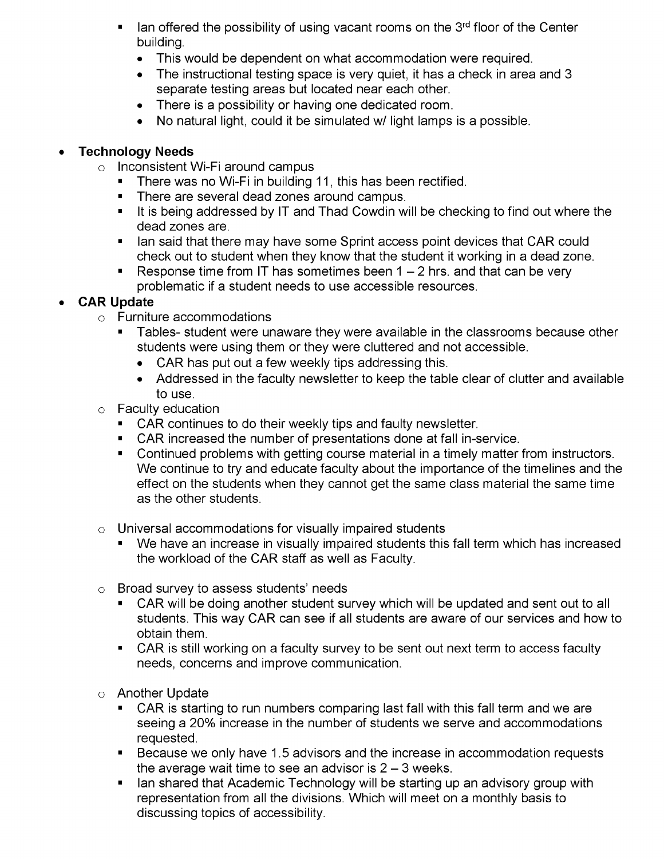- Ian offered the possibility of using vacant rooms on the 3<sup>rd</sup> floor of the Center building.
	- This would be dependent on what accommodation were required.
	- The instructional testing space is very quiet, it has a check in area and 3 separate testing areas but located near each other.
	- There is a possibility or having one dedicated room.  $\bullet$
	- No natural light, could it be simulated w/ light lamps is a possible.  $\bullet$

## **Technology Needs**

- $\circ$  Inconsistent Wi-Fi around campus
	- **There was no Wi-Fi in building 11, this has been rectified.**
	- **There are several dead zones around campus.**
	- It is being addressed by IT and Thad Cowdin will be checking to find out where the dead zones are.
	- I lan said that there may have some Sprint access point devices that CAR could check out to student when they know that the student it working in a dead zone.
	- Response time from IT has sometimes been  $1 2$  hrs. and that can be very problematic if a student needs to use accessible resources.

## **CAR Update**

- $\circ$  Furniture accommodations
	- Tables- student were unaware they were available in the classrooms because other students were using them or they were cluttered and not accessible.
		- CAR has put out a few weekly tips addressing this.
		- Addressed in the faculty newsletter to keep the table clear of clutter and available to use.
- $\circ$  Faculty education
	- **CAR continues to do their weekly tips and faulty newsletter.**
	- CAR increased the number of presentations done at fall in-service.
	- **Continued problems with getting course material in a timely matter from instructors.** We continue to try and educate faculty about the importance of the timelines and the effect on the students when they cannot get the same class material the same time as the other students.
- $\circ$  Universal accommodations for visually impaired students
	- We have an increase in visually impaired students this fall term which has increased the workload of the CAR staff as well as Faculty.
- Broad survey to assess students' needs  $\circ$ 
	- CAR will be doing another student survey which will be updated and sent out to all students. This way CAR can see if all students are aware of our services and how to obtain them.
	- CAR is still working on a faculty survey to be sent out next term to access faculty needs, concerns and improve communication.
- Another Update
	- CAR is starting to run numbers comparing last fall with this fall term and we are seeing a 20% increase in the number of students we serve and accommodations requested.
	- Because we only have 1.5 advisors and the increase in accommodation requests the average wait time to see an advisor is  $2 - 3$  weeks.
	- I lan shared that Academic Technology will be starting up an advisory group with representation from all the divisions. Which will meet on a monthly basis to discussing topics of accessibility.